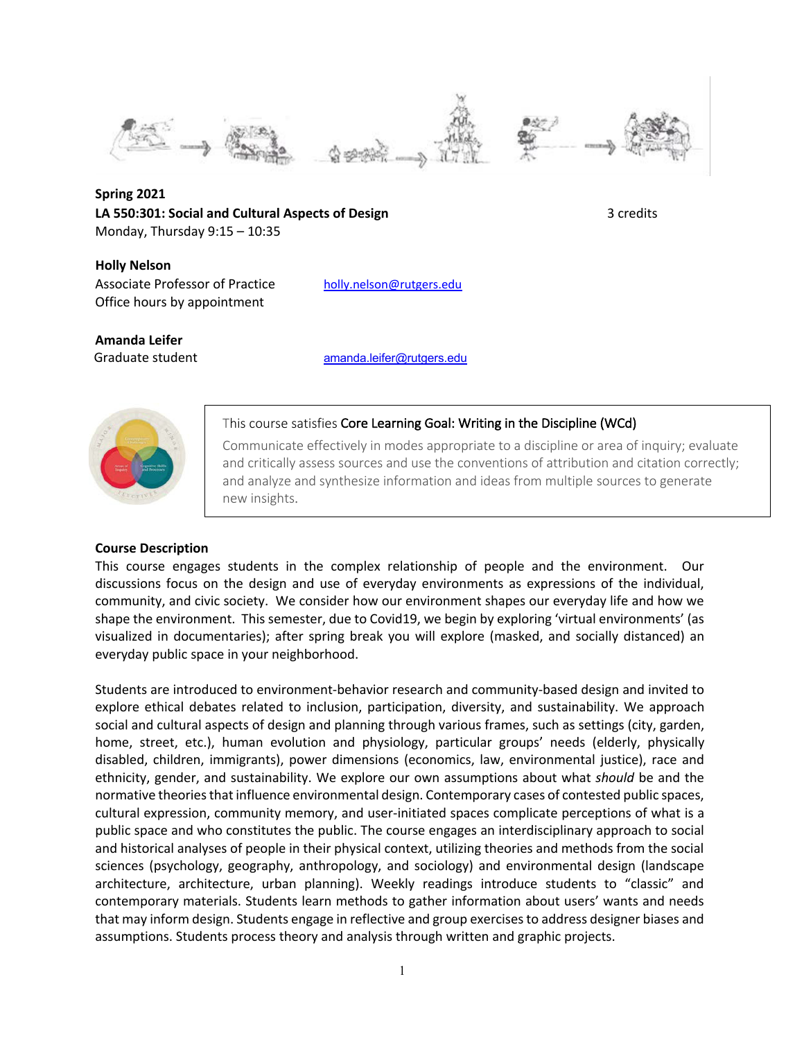

**Spring 2021 LA 550:301: Social and Cultural Aspects of Design 3 credits** 3 credits Monday, Thursday 9:15 – 10:35

 **Holly Nelson** Associate Professor of Practice holly.nelson@rutgers.edu Office hours by appointment

**Amanda Leifer**

Graduate student amanda.leifer@rutgers.edu



## This course satisfies Core Learning Goal: Writing in the Discipline (WCd)

Communicate effectively in modes appropriate to a discipline or area of inquiry; evaluate and critically assess sources and use the conventions of attribution and citation correctly; and analyze and synthesize information and ideas from multiple sources to generate new insights.

# **Course Description**

This course engages students in the complex relationship of people and the environment. Our discussions focus on the design and use of everyday environments as expressions of the individual, community, and civic society. We consider how our environment shapes our everyday life and how we shape the environment. This semester, due to Covid19, we begin by exploring 'virtual environments' (as visualized in documentaries); after spring break you will explore (masked, and socially distanced) an everyday public space in your neighborhood.

Students are introduced to environment-behavior research and community-based design and invited to explore ethical debates related to inclusion, participation, diversity, and sustainability. We approach social and cultural aspects of design and planning through various frames, such as settings (city, garden, home, street, etc.), human evolution and physiology, particular groups' needs (elderly, physically disabled, children, immigrants), power dimensions (economics, law, environmental justice), race and ethnicity, gender, and sustainability. We explore our own assumptions about what *should* be and the normative theories that influence environmental design. Contemporary cases of contested public spaces, cultural expression, community memory, and user-initiated spaces complicate perceptions of what is a public space and who constitutes the public. The course engages an interdisciplinary approach to social and historical analyses of people in their physical context, utilizing theories and methods from the social sciences (psychology, geography, anthropology, and sociology) and environmental design (landscape architecture, architecture, urban planning). Weekly readings introduce students to "classic" and contemporary materials. Students learn methods to gather information about users' wants and needs that may inform design. Students engage in reflective and group exercises to address designer biases and assumptions. Students process theory and analysis through written and graphic projects.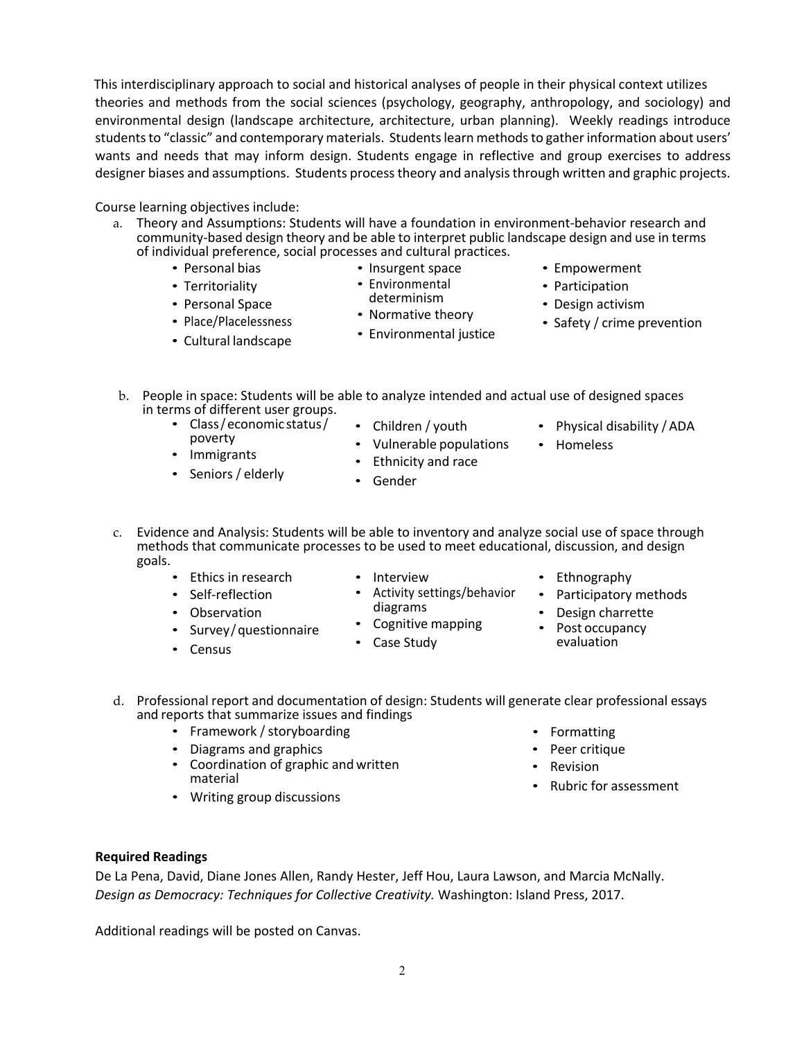This interdisciplinary approach to social and historical analyses of people in their physical context utilizes theories and methods from the social sciences (psychology, geography, anthropology, and sociology) and environmental design (landscape architecture, architecture, urban planning). Weekly readings introduce students to "classic" and contemporary materials. Students learn methods to gather information about users' wants and needs that may inform design. Students engage in reflective and group exercises to address designer biases and assumptions. Students process theory and analysis through written and graphic projects.

Course learning objectives include:

- a. Theory and Assumptions: Students will have a foundation in environment-behavior research and community-based design theory and be able to interpret public landscape design and use in terms of individual preference, social processes and cultural practices.
	- Personal bias
	- Territoriality

poverty • Immigrants • Seniors / elderly

- Personal Space
- Place/Placelessness
- Cultural landscape

• Class/ economic status/

- Insurgent space • Environmental
- determinism
- Normative theory
	- Environmental justice
- Empowerment
- Participation
- Design activism
- Safety / crime prevention

• Physical disability / ADA

- b. People in space: Students will be able to analyze intended and actual use of designed spaces in terms of different user groups.
	- Children / youth
	- Vulnerable populations
	- Ethnicity and race
	- Gender
- c. Evidence and Analysis: Students will be able to inventory and analyze social use of space through methods that communicate processes to be used to meet educational, discussion, and design goals.
	- Ethics in research • Self-reflection

• Observation

• Census

- Interview
- Activity settings/behavior diagrams
- Cognitive mapping
- Case Study

• Ethnography

• Homeless

- Participatory methods
- Design charrette
- Post occupancy evaluation
- d. Professional report and documentation of design: Students will generate clear professional essays and reports that summarize issues and findings
	- Framework / storyboarding
	- Diagrams and graphics

• Survey/questionnaire

- Coordination of graphic and written material
- Writing group discussions
- Formatting
- Peer critique
- Revision
- Rubric for assessment

### **Required Readings**

De La Pena, David, Diane Jones Allen, Randy Hester, Jeff Hou, Laura Lawson, and Marcia McNally. *Design as Democracy: Techniques for Collective Creativity.* Washington: Island Press, 2017.

Additional readings will be posted on Canvas.

- 
-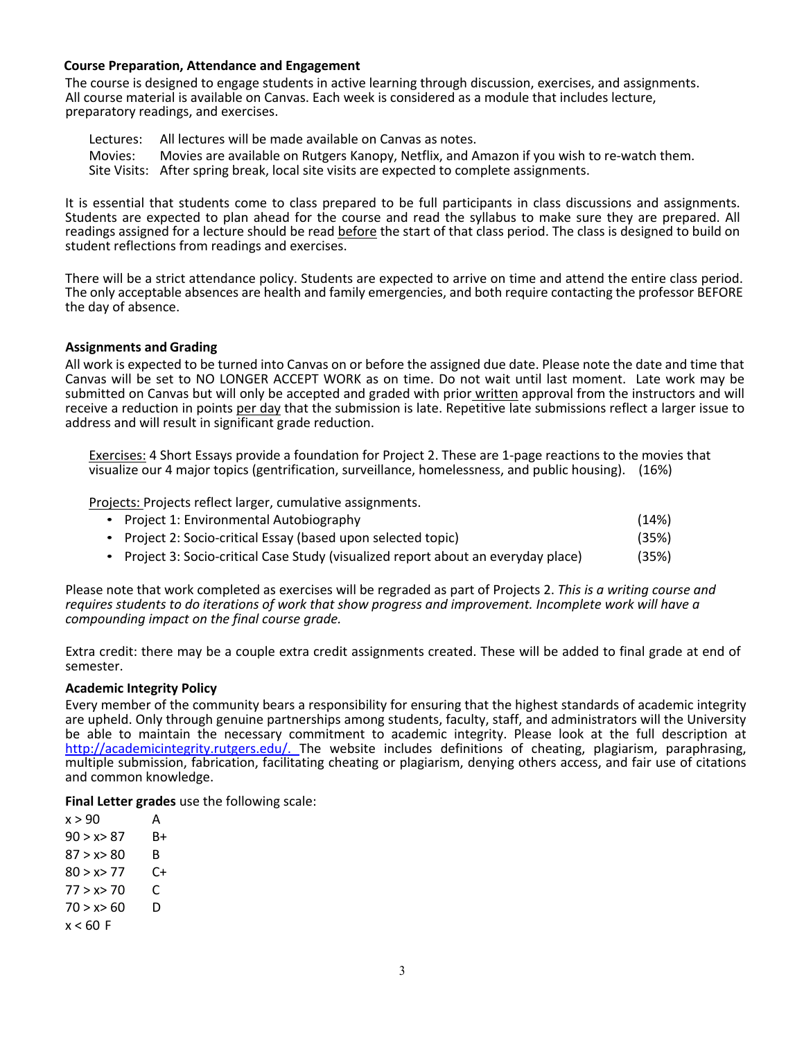## **Course Preparation, Attendance and Engagement**

The course is designed to engage students in active learning through discussion, exercises, and assignments. All course material is available on Canvas. Each week is considered as a module that includes lecture, preparatory readings, and exercises.

Lectures: All lectures will be made available on Canvas as notes.

Movies: Movies are available on Rutgers Kanopy, Netflix, and Amazon if you wish to re-watch them. Site Visits: After spring break, local site visits are expected to complete assignments.

It is essential that students come to class prepared to be full participants in class discussions and assignments. Students are expected to plan ahead for the course and read the syllabus to make sure they are prepared. All readings assigned for a lecture should be read before the start of that class period. The class is designed to build on student reflections from readings and exercises.

There will be a strict attendance policy. Students are expected to arrive on time and attend the entire class period. The only acceptable absences are health and family emergencies, and both require contacting the professor BEFORE the day of absence.

### **Assignments and Grading**

All work is expected to be turned into Canvas on or before the assigned due date. Please note the date and time that Canvas will be set to NO LONGER ACCEPT WORK as on time. Do not wait until last moment. Late work may be submitted on Canvas but will only be accepted and graded with prior written approval from the instructors and will receive a reduction in points per day that the submission is late. Repetitive late submissions reflect a larger issue to address and will result in significant grade reduction.

Exercises: 4 Short Essays provide a foundation for Project 2. These are 1-page reactions to the movies that visualize our 4 major topics (gentrification, surveillance, homelessness, and public housing). (16%)

Projects: Projects reflect larger, cumulative assignments.

| • Project 1: Environmental Autobiography                                           | (14%) |
|------------------------------------------------------------------------------------|-------|
| • Project 2: Socio-critical Essay (based upon selected topic)                      | (35%) |
| • Project 3: Socio-critical Case Study (visualized report about an everyday place) | (35%) |

Please note that work completed as exercises will be regraded as part of Projects 2. *This is a writing course and requires students to do iterations of work that show progress and improvement. Incomplete work will have a compounding impact on the final course grade.*

Extra credit: there may be a couple extra credit assignments created. These will be added to final grade at end of semester.

### **Academic Integrity Policy**

Every member of the community bears a responsibility for ensuring that the highest standards of academic integrity are upheld. Only through genuine partnerships among students, faculty, staff, and administrators will the University be able to maintain the necessary commitment to academic integrity. Please look at the full description at http://academicintegrity.rutgers.edu/. The website includes definitions of cheating, plagiarism, paraphrasing, multiple submission, fabrication, facilitating cheating or plagiarism, denying others access, and fair use of citations and common knowledge.

**Final Letter grades** use the following scale:

 $x > 90$  A  $90 > x > 87$  B+  $87 > x > 80$  B  $80 > x > 77$  C+  $77 > x > 70$  C  $70 > x > 60$  D  $x < 60$  F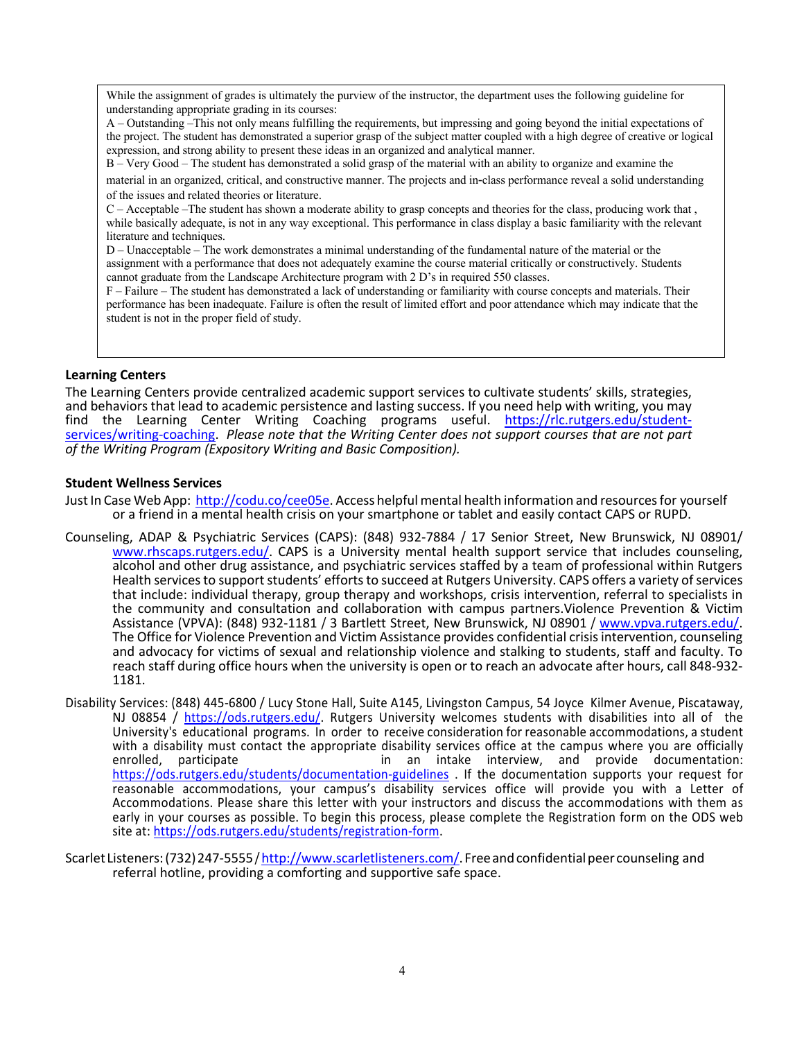While the assignment of grades is ultimately the purview of the instructor, the department uses the following guideline for understanding appropriate grading in its courses:

A – Outstanding –This not only means fulfilling the requirements, but impressing and going beyond the initial expectations of the project. The student has demonstrated a superior grasp of the subject matter coupled with a high degree of creative or logical expression, and strong ability to present these ideas in an organized and analytical manner.

B – Very Good – The student has demonstrated a solid grasp of the material with an ability to organize and examine the

material in an organized, critical, and constructive manner. The projects and in‐class performance reveal a solid understanding of the issues and related theories or literature.

C – Acceptable –The student has shown a moderate ability to grasp concepts and theories for the class, producing work that , while basically adequate, is not in any way exceptional. This performance in class display a basic familiarity with the relevant literature and techniques.

D – Unacceptable – The work demonstrates a minimal understanding of the fundamental nature of the material or the assignment with a performance that does not adequately examine the course material critically or constructively. Students cannot graduate from the Landscape Architecture program with 2 D's in required 550 classes.

F – Failure – The student has demonstrated a lack of understanding or familiarity with course concepts and materials. Their performance has been inadequate. Failure is often the result of limited effort and poor attendance which may indicate that the student is not in the proper field of study.

## **Learning Centers**

The Learning Centers provide centralized academic support services to cultivate students' skills, strategies, and behaviors that lead to academic persistence and lasting success. If you need help with writing, you may find the Learning Center Writing Coaching programs useful. https://rlc.rutgers.edu/studentfind the Learning Coaching. Please note that the Writing Center does not support courses that are not part *of the Writing Program (Expository Writing and Basic Composition).*

## **Student Wellness Services**

Just In Case Web App: http://codu.co/cee05e. Access helpful mental health information and resources for yourself or a friend in a mental health crisis on your smartphone or tablet and easily contact CAPS or RUPD.

- Counseling, ADAP & Psychiatric Services (CAPS): (848) 932-7884 / 17 Senior Street, New Brunswick, NJ 08901/ www.rhscaps.rutgers.edu/. CAPS is a University mental health support service that includes counseling, alcohol and other drug assistance, and psychiatric services staffed by a team of professional within Rutgers Health services to support students' efforts to succeed at Rutgers University. CAPS offers a variety of services that include: individual therapy, group therapy and workshops, crisis intervention, referral to specialists in the community and consultation and collaboration with campus partners.Violence Prevention & Victim Assistance (VPVA): (848) 932-1181 / 3 Bartlett Street, New Brunswick, NJ 08901 / www.vpva.rutgers.edu/.<br>The Office for Violence Prevention and Victim Assistance provides confidential crisis intervention, counseling and advocacy for victims of sexual and relationship violence and stalking to students, staff and faculty. To reach staff during office hours when the university is open or to reach an advocate after hours, call 848-932-<br>1181.
- Disability Services: (848) 445-6800 / Lucy Stone Hall, Suite A145, Livingston Campus, 54 Joyce Kilmer Avenue, Piscataway, NJ 08854 / https://ods.rutgers.edu/. Rutgers University welcomes students with disabilities into all of the University's educational programs. In order to receive consideration for reasonable accommodations, a student with a disability must contact the appropriate disability services office at the campus where you are officially<br>enrolled, participate lime in an intake interview, and provide documentation: in an intake interview, and provide documentation: https://ods.rutgers.edu/students/documentation-guidelines . If the documentation supports your request for reasonable accommodations, your campus's disability services office will provide you with a Letter of Accommodations. Please share this letter with your instructors and discuss the accommodations with them as early in your courses as possible. To begin this process, please complete the Registration form on the ODS web site at: https://ods.rutgers.edu/students/registration-form.
- Scarlet Listeners: (732) 247-5555/ http://www.scarletlisteners.com/. Free and confidential peer counseling and referral hotline, providing a comforting and supportive safe space.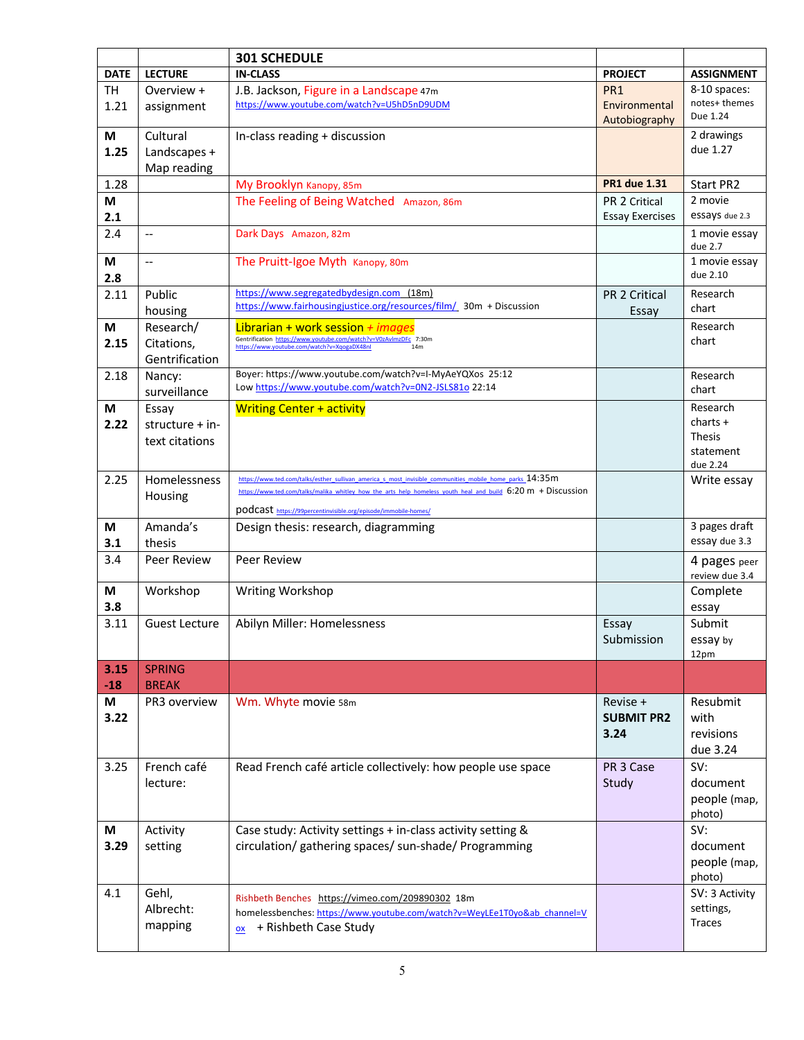|               |                               | <b>301 SCHEDULE</b>                                                                                                    |                        |                                |
|---------------|-------------------------------|------------------------------------------------------------------------------------------------------------------------|------------------------|--------------------------------|
| <b>DATE</b>   | <b>LECTURE</b>                | <b>IN-CLASS</b>                                                                                                        | <b>PROJECT</b>         | <b>ASSIGNMENT</b>              |
| <b>TH</b>     | Overview +                    | J.B. Jackson, Figure in a Landscape 47m                                                                                | PR <sub>1</sub>        | 8-10 spaces:                   |
| 1.21          | assignment                    | https://www.youtube.com/watch?v=U5hD5nD9UDM                                                                            | Environmental          | notes+ themes<br>Due 1.24      |
|               |                               |                                                                                                                        | Autobiography          |                                |
| M             | Cultural                      | In-class reading + discussion                                                                                          |                        | 2 drawings                     |
| 1.25          | Landscapes +                  |                                                                                                                        |                        | due 1.27                       |
|               | Map reading                   |                                                                                                                        |                        |                                |
| 1.28          |                               | My Brooklyn Kanopy, 85m                                                                                                | <b>PR1 due 1.31</b>    | Start PR2                      |
| M             |                               | The Feeling of Being Watched Amazon, 86m                                                                               | PR 2 Critical          | 2 movie                        |
| 2.1           |                               |                                                                                                                        | <b>Essay Exercises</b> | essays due 2.3                 |
| 2.4           | $\overline{\phantom{a}}$      | Dark Days Amazon, 82m                                                                                                  |                        | 1 movie essay<br>due 2.7       |
| M             | ш.,                           | The Pruitt-Igoe Myth Kanopy, 80m                                                                                       |                        | 1 movie essay                  |
| 2.8           |                               |                                                                                                                        |                        | due 2.10                       |
| 2.11          | Public                        | https://www.segregatedbydesign.com (18m)                                                                               | PR 2 Critical          | Research                       |
|               | housing                       | https://www.fairhousingjustice.org/resources/film/ 30m + Discussion                                                    | Essay                  | chart                          |
| M             | Research/                     | Librarian + work session + images                                                                                      |                        | Research                       |
| 2.15          | Citations,                    | Gentrification https://www.youtube.com/watch?v=V0zAvImzDFc 7:30m<br>https://www.youtube.com/watch?v=XqogaDX48nl<br>14m |                        | chart                          |
|               | Gentrification                |                                                                                                                        |                        |                                |
| 2.18          | Nancy:                        | Boyer: https://www.youtube.com/watch?v=I-MyAeYQXos 25:12                                                               |                        | Research                       |
|               | surveillance                  | Low https://www.youtube.com/watch?v=0N2-JSLS81o 22:14                                                                  |                        | chart                          |
| M             | Essay                         | <b>Writing Center + activity</b>                                                                                       |                        | Research                       |
| 2.22          | structure + in-               |                                                                                                                        |                        | $charts +$                     |
|               | text citations                |                                                                                                                        |                        | <b>Thesis</b>                  |
|               |                               |                                                                                                                        |                        | statement<br>due 2.24          |
| 2.25          | Homelessness                  | https://www.ted.com/talks/esther_sullivan_america_s_most_invisible_communities_mobile_home_parks_14:35m                |                        | Write essay                    |
|               | Housing                       | https://www.ted.com/talks/malika whitley how the arts help homeless youth heal and build 6:20 m + Discussion           |                        |                                |
|               |                               | podcast https://99percentinvisible.org/episode/immobile-homes/                                                         |                        |                                |
| M             | Amanda's                      | Design thesis: research, diagramming                                                                                   |                        | 3 pages draft                  |
| 3.1           | thesis                        |                                                                                                                        |                        | essay due 3.3                  |
| 3.4           | Peer Review                   | <b>Peer Review</b>                                                                                                     |                        | 4 pages peer<br>review due 3.4 |
| M             | Workshop                      | Writing Workshop                                                                                                       |                        | Complete                       |
| 3.8           |                               |                                                                                                                        |                        | essay                          |
| 3.11          | <b>Guest Lecture</b>          | Abilyn Miller: Homelessness                                                                                            | Essay                  | Submit                         |
|               |                               |                                                                                                                        | Submission             | essay by                       |
|               |                               |                                                                                                                        |                        | 12pm                           |
| 3.15<br>$-18$ | <b>SPRING</b><br><b>BREAK</b> |                                                                                                                        |                        |                                |
| M             | PR3 overview                  | Wm. Whyte movie 58m                                                                                                    | Revise +               | Resubmit                       |
| 3.22          |                               |                                                                                                                        | <b>SUBMIT PR2</b>      | with                           |
|               |                               |                                                                                                                        | 3.24                   | revisions                      |
|               |                               |                                                                                                                        |                        | due 3.24                       |
| 3.25          | French café                   | Read French café article collectively: how people use space                                                            | PR 3 Case              | SV:                            |
|               | lecture:                      |                                                                                                                        | Study                  | document                       |
|               |                               |                                                                                                                        |                        | people (map,                   |
|               |                               |                                                                                                                        |                        | photo)                         |
| М             | Activity                      | Case study: Activity settings + in-class activity setting &                                                            |                        | SV:                            |
| 3.29          | setting                       | circulation/ gathering spaces/ sun-shade/ Programming                                                                  |                        | document                       |
|               |                               |                                                                                                                        |                        | people (map,                   |
|               |                               |                                                                                                                        |                        | photo)                         |
| 4.1           | Gehl,                         | Rishbeth Benches https://vimeo.com/209890302 18m                                                                       |                        | SV: 3 Activity                 |
|               | Albrecht:                     | homelessbenches: https://www.youtube.com/watch?v=WeyLEe1T0yo&ab channel=V                                              |                        | settings,                      |
|               | mapping                       | + Rishbeth Case Study<br>OX                                                                                            |                        | Traces                         |
|               |                               |                                                                                                                        |                        |                                |